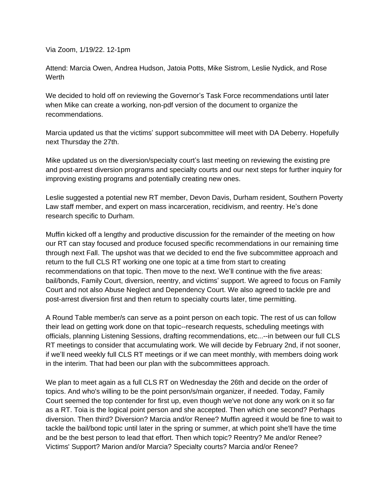Via Zoom, 1/19/22. 12-1pm

Attend: Marcia Owen, Andrea Hudson, Jatoia Potts, Mike Sistrom, Leslie Nydick, and Rose **Werth** 

We decided to hold off on reviewing the Governor's Task Force recommendations until later when Mike can create a working, non-pdf version of the document to organize the recommendations.

Marcia updated us that the victims' support subcommittee will meet with DA Deberry. Hopefully next Thursday the 27th.

Mike updated us on the diversion/specialty court's last meeting on reviewing the existing pre and post-arrest diversion programs and specialty courts and our next steps for further inquiry for improving existing programs and potentially creating new ones.

Leslie suggested a potential new RT member, Devon Davis, Durham resident, Southern Poverty Law staff member, and expert on mass incarceration, recidivism, and reentry. He's done research specific to Durham.

Muffin kicked off a lengthy and productive discussion for the remainder of the meeting on how our RT can stay focused and produce focused specific recommendations in our remaining time through next Fall. The upshot was that we decided to end the five subcommittee approach and return to the full CLS RT working one one topic at a time from start to creating recommendations on that topic. Then move to the next. We'll continue with the five areas: bail/bonds, Family Court, diversion, reentry, and victims' support. We agreed to focus on Family Court and not also Abuse Neglect and Dependency Court. We also agreed to tackle pre and post-arrest diversion first and then return to specialty courts later, time permitting.

A Round Table member/s can serve as a point person on each topic. The rest of us can follow their lead on getting work done on that topic--research requests, scheduling meetings with officials, planning Listening Sessions, drafting recommendations, etc...--in between our full CLS RT meetings to consider that accumulating work. We will decide by February 2nd, if not sooner, if we'll need weekly full CLS RT meetings or if we can meet monthly, with members doing work in the interim. That had been our plan with the subcommittees approach.

We plan to meet again as a full CLS RT on Wednesday the 26th and decide on the order of topics. And who's willing to be the point person/s/main organizer, if needed. Today, Family Court seemed the top contender for first up, even though we've not done any work on it so far as a RT. Toia is the logical point person and she accepted. Then which one second? Perhaps diversion. Then third? Diversion? Marcia and/or Renee? Muffin agreed it would be fine to wait to tackle the bail/bond topic until later in the spring or summer, at which point she'll have the time and be the best person to lead that effort. Then which topic? Reentry? Me and/or Renee? Victims' Support? Marion and/or Marcia? Specialty courts? Marcia and/or Renee?